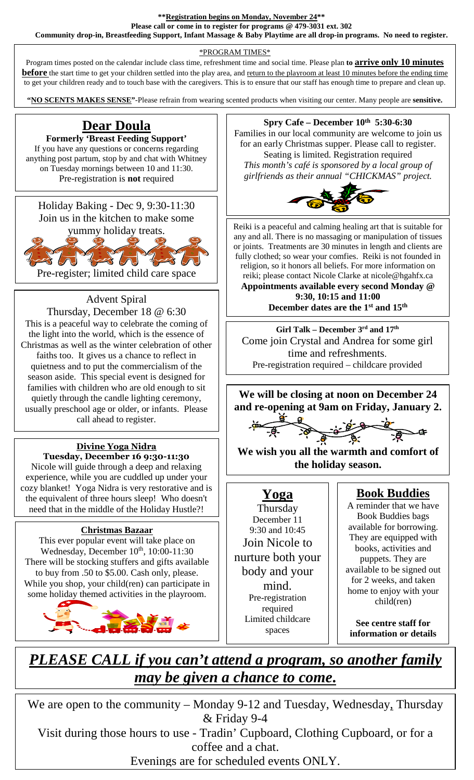**\*\*Registration begins on Monday, November 24\*\*** 

**Please call or come in to register for programs @ 479-3031 ext. 302 Community drop-in, Breastfeeding Support, Infant Massage & Baby Playtime are all drop-in programs. No need to register.** 

### \*PROGRAM TIMES\*

Program times posted on the calendar include class time, refreshment time and social time. Please plan **to arrive only 10 minutes before** the start time to get your children settled into the play area, and return to the playroom at least 10 minutes before the ending time to get your children ready and to touch base with the caregivers. This is to ensure that our staff has enough time to prepare and clean up.

**"NO SCENTS MAKES SENSE"**-Please refrain from wearing scented products when visiting our center. Many people are **sensitive.**

# **Dear Doula**

**Formerly 'Breast Feeding Support'**  If you have any questions or concerns regarding anything post partum, stop by and chat with Whitney on Tuesday mornings between 10 and 11:30. Pre-registration is **not** required



Pre-register; limited child care space

 $\overline{a}$ 

## Advent Spiral

the light into the world, which is the essence of Thursday, December 18 @ 6:30 This is a peaceful way to celebrate the coming of Christmas as well as the winter celebration of other faiths too. It gives us a chance to reflect in quietness and to put the commercialism of the season aside. This special event is designed for families with children who are old enough to sit quietly through the candle lighting ceremony, usually preschool age or older, or infants. Please call ahead to register.

#### **Divine Yoga Nidra Tuesday, December 16 9:30-11:30**

Nicole will guide through a deep and relaxing experience, while you are cuddled up under your cozy blanket! Yoga Nidra is very restorative and is the equivalent of three hours sleep! Who doesn't need that in the middle of the Holiday Hustle?!

### **Christmas Bazaar**

This ever popular event will take place on Wednesday, December 10<sup>th</sup>, 10:00-11:30 There will be stocking stuffers and gifts available to buy from .50 to \$5.00. Cash only, please. While you shop, your child(ren) can participate in some holiday themed activities in the playroom.



### **Spry Cafe – December 10th 5:30-6:30**

Families in our local community are welcome to join us for an early Christmas supper. Please call to register. Seating is limited. Registration required *This month's café is sponsored by a local group of* 

*girlfriends as their annual "CHICKMAS" project.* 



Reiki is a peaceful and calming healing art that is suitable for any and all. There is no massaging or manipulation of tissues or joints. Treatments are 30 minutes in length and clients are fully clothed; so wear your comfies. Reiki is not founded in religion, so it honors all beliefs. For more information on reiki; please contact Nicole Clarke at nicole@hgahfx.ca

**Appointments available every second Monday @ 9:30, 10:15 and 11:00 December dates are the 1st and 15th** 

**Girl Talk – December 3rd and 17th** Come join Crystal and Andrea for some girl time and refreshments. Pre-registration required – childcare provided

**We will be closing at noon on December 24 and re-opening at 9am on Friday, January 2.** 

 $\frac{9}{8}$   $\frac{9}{8}$   $\frac{1}{8}$   $\frac{1}{8}$   $\frac{1}{8}$ 

**We wish you all the warmth and comfort of the holiday season.** 

# **Yoga**

**Thursday** December 11 9:30 and 10:45 Join Nicole to nurture both your body and your mind. Pre-registration required Limited childcare spaces

# **Book Buddies**

A reminder that we have Book Buddies bags available for borrowing. They are equipped with books, activities and puppets. They are available to be signed out for 2 weeks, and taken home to enjoy with your child(ren)

**See centre staff for information or details** 

# *PLEASE CALL if you can't attend a program, so another family may be given a chance to come***.**

We are open to the community – Monday 9-12 and Tuesday, Wednesday, Thursday & Friday 9-4 Visit during those hours to use - Tradin' Cupboard, Clothing Cupboard, or for a

coffee and a chat.

Evenings are for scheduled events ONLY.